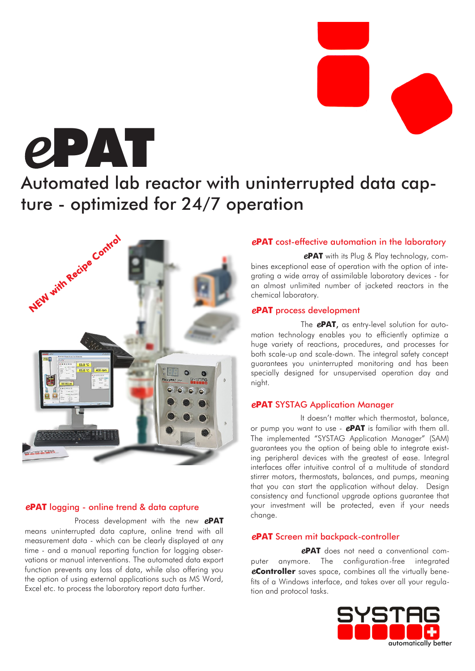*e*PAT

# Automated lab reactor with uninterrupted data capture - optimized for 24/7 operation



### *e***PAT** logging - online trend & data capture

Process development with the new *e***PAT** means uninterrupted data capture, online trend with all measurement data - which can be clearly displayed at any time - and a manual reporting function for logging observations or manual interventions. The automated data export function prevents any loss of data, while also offering you the option of using external applications such as MS Word, Excel etc. to process the laboratory report data further.

### *e***PAT** cost-effective automation in the laboratory

*e***PAT** with its Plug & Play technology, combines exceptional ease of operation with the option of integrating a wide array of assimilable laboratory devices - for an almost unlimited number of jacketed reactors in the chemical laboratory.

### *e***PAT** process development

The *e***PAT**, as entry-level solution for automation technology enables you to efficiently optimize a huge variety of reactions, procedures, and processes for both scale-up and scale-down. The integral safety concept guarantees you uninterrupted monitoring and has been specially designed for unsupervised operation day and night.

### *e***PAT** SYSTAG Application Manager

It doesn't matter which thermostat, balance, or pump you want to use - *e***PAT** is familiar with them all. The implemented "SYSTAG Application Manager" (SAM) guarantees you the option of being able to integrate existing peripheral devices with the greatest of ease. Integral interfaces offer intuitive control of a multitude of standard stirrer motors, thermostats, balances, and pumps, meaning that you can start the application without delay. Design consistency and functional upgrade options guarantee that your investment will be protected, even if your needs change.

### *e***PAT** Screen mit backpack-controller

*e***PAT** does not need a conventional computer anymore. The configuration-free integrated *e***Controller** saves space, combines all the virtually benefits of a Windows interface, and takes over all your regulation and protocol tasks.

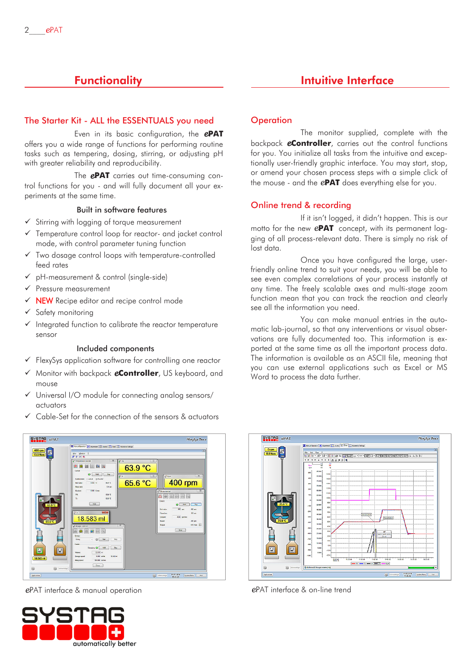# **Functionality**

### The Starter Kit - ALL the ESSENTUALS you need

Even in its basic configuration, the *e***PAT** offers you a wide range of functions for performing routine tasks such as tempering, dosing, stirring, or adjusting pH with greater reliability and reproducibility.

The *e***PAT** carries out time-consuming control functions for you - and will fully document all your experiments at the same time.

### Built in software features

- ✓ Stirring with logging of torque measurement
- ✓ Temperature control loop for reactor- and jacket control mode, with control parameter tuning function
- ✓ Two dosage control loops with temperature-controlled feed rates
- pH-measurement & control (single-side)
- ✓ Pressure measurement
- **✓ NEW** Recipe editor and recipe control mode
- ✓ Safety monitoring
- ✓ Integrated function to calibrate the reactor temperature sensor

#### Included components

- ✓ FlexySys application software for controlling one reactor
- ✓ Monitor with backpack *e***Controller**, US keyboard, and mouse
- ✓ Universal I/O module for connecting analog sensors/ actuators
- Cable-Set for the connection of the sensors & actuators



*e*PAT interface & manual operation *e*PAT interface & on-line trend



### Intuitive Interface

### **Operation**

The monitor supplied, complete with the backpack *e***Controller**, carries out the control functions for you. You initialize all tasks from the intuitive and exceptionally user-friendly graphic interface. You may start, stop, or amend your chosen process steps with a simple click of the mouse - and the *e***PAT** does everything else for you.

### Online trend & recording

If it isn't logged, it didn't happen. This is our motto for the new *e***PAT** concept, with its permanent logging of all process-relevant data. There is simply no risk of lost data.

Once you have configured the large, userfriendly online trend to suit your needs, you will be able to see even complex correlations of your process instantly at any time. The freely scalable axes and multi-stage zoom function mean that you can track the reaction and clearly see all the information you need.

You can make manual entries in the automatic lab-journal, so that any interventions or visual observations are fully documented too. This information is exported at the same time as all the important process data. The information is available as an ASCII file, meaning that you can use external applications such as Excel or MS Word to process the data further.

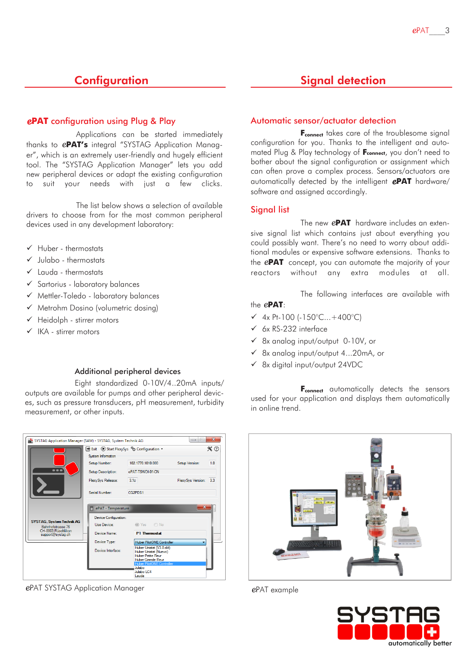### **Configuration**

### *e***PAT** configuration using Plug & Play

Applications can be started immediately thanks to *e***PAT's** integral "SYSTAG Application Manager", which is an extremely user-friendly and hugely efficient tool. The "SYSTAG Application Manager" lets you add new peripheral devices or adapt the existing configuration to suit your needs with just a few clicks.

The list below shows a selection of available drivers to choose from for the most common peripheral devices used in any development laboratory:

- ✓ Huber thermostats
- $\checkmark$  Julabo thermostats
- ✓ Lauda thermostats
- ✓ Sartorius laboratory balances
- ✓ Mettler-Toledo laboratory balances
- ✓ Metrohm Dosino (volumetric dosing)
- ✓ Heidolph stirrer motors
- ✓ IKA stirrer motors

### Additional peripheral devices

Eight standardized 0-10V/4..20mA inputs/ outputs are available for pumps and other peripheral devices, such as pressure transducers, pH measurement, turbidity measurement, or other inputs.



*e*PAT SYSTAG Application Manager *e*PAT example

# Signal detection

### Automatic sensor/actuator detection

**F**<sub>connect</sub> takes care of the troublesome signal configuration for you. Thanks to the intelligent and automated Plug & Play technology of **Fconnect**, you don't need to bother about the signal configuration or assignment which can often prove a complex process. Sensors/actuators are automatically detected by the intelligent *e***PAT** hardware/ software and assigned accordingly.

### Signal list

The new *e***PAT** hardware includes an extensive signal list which contains just about everything you could possibly want. There's no need to worry about additional modules or expensive software extensions. Thanks to the *e***PAT** concept, you can automate the majority of your reactors without any extra modules at all.

The following interfaces are available with

the *e***PAT**:

- ✓ 4x Pt-100 (-150°C...+400°C)
- ✓ 6x RS-232 interface
- ✓ 8x analog input/output 0-10V, or
- ✓ 8x analog input/output 4...20mA, or
- ✓ 8x digital input/output 24VDC

**F**<sub>connect</sub> automatically detects the sensors used for your application and displays them automatically in online trend.